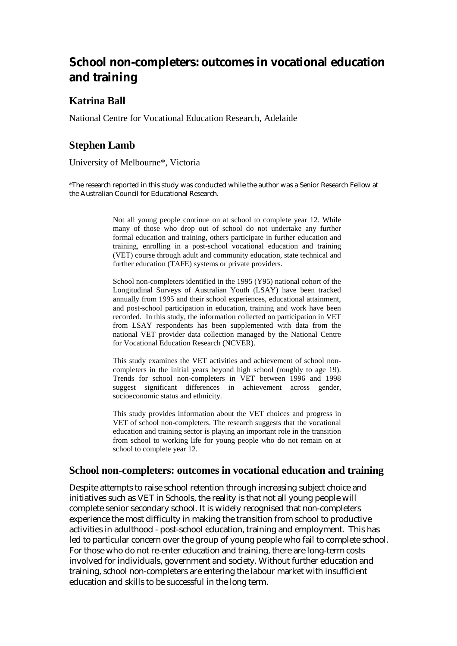# **School non-completers: outcomes in vocational education and training**

# **Katrina Ball**

National Centre for Vocational Education Research, Adelaide

# **Stephen Lamb**

University of Melbourne\*, Victoria

\*The research reported in this study was conducted while the author was a Senior Research Fellow at the Australian Council for Educational Research.

> Not all young people continue on at school to complete year 12. While many of those who drop out of school do not undertake any further formal education and training, others participate in further education and training, enrolling in a post-school vocational education and training (VET) course through adult and community education, state technical and further education (TAFE) systems or private providers.

> School non-completers identified in the 1995 (Y95) national cohort of the Longitudinal Surveys of Australian Youth (LSAY) have been tracked annually from 1995 and their school experiences, educational attainment, and post-school participation in education, training and work have been recorded. In this study, the information collected on participation in VET from LSAY respondents has been supplemented with data from the national VET provider data collection managed by the National Centre for Vocational Education Research (NCVER).

> This study examines the VET activities and achievement of school noncompleters in the initial years beyond high school (roughly to age 19). Trends for school non-completers in VET between 1996 and 1998 suggest significant differences in achievement across gender, socioeconomic status and ethnicity.

> This study provides information about the VET choices and progress in VET of school non-completers. The research suggests that the vocational education and training sector is playing an important role in the transition from school to working life for young people who do not remain on at school to complete year 12.

## **School non-completers: outcomes in vocational education and training**

Despite attempts to raise school retention through increasing subject choice and initiatives such as VET in Schools, the reality is that not all young people will complete senior secondary school. It is widely recognised that non-completers experience the most difficulty in making the transition from school to productive activities in adulthood - post-school education, training and employment. This has led to particular concern over the group of young people who fail to complete school. For those who do not re-enter education and training, there are long-term costs involved for individuals, government and society. Without further education and training, school non-completers are entering the labour market with insufficient education and skills to be successful in the long term.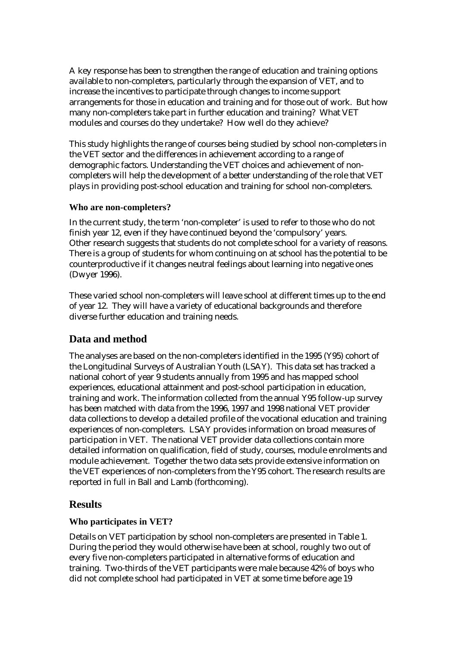A key response has been to strengthen the range of education and training options available to non-completers, particularly through the expansion of VET, and to increase the incentives to participate through changes to income support arrangements for those in education and training and for those out of work. But how many non-completers take part in further education and training? What VET modules and courses do they undertake? How well do they achieve?

This study highlights the range of courses being studied by school non-completers in the VET sector and the differences in achievement according to a range of demographic factors. Understanding the VET choices and achievement of noncompleters will help the development of a better understanding of the role that VET plays in providing post-school education and training for school non-completers.

#### **Who are non-completers?**

In the current study, the term 'non-completer' is used to refer to those who do not finish year 12, even if they have continued beyond the 'compulsory' years. Other research suggests that students do not complete school for a variety of reasons. There is a group of students for whom continuing on at school has the potential to be counterproductive if it changes neutral feelings about learning into negative ones (Dwyer 1996).

These varied school non-completers will leave school at different times up to the end of year 12. They will have a variety of educational backgrounds and therefore diverse further education and training needs.

# **Data and method**

The analyses are based on the non-completers identified in the 1995 (Y95) cohort of the Longitudinal Surveys of Australian Youth (LSAY). This data set has tracked a national cohort of year 9 students annually from 1995 and has mapped school experiences, educational attainment and post-school participation in education, training and work. The information collected from the annual Y95 follow-up survey has been matched with data from the 1996, 1997 and 1998 national VET provider data collections to develop a detailed profile of the vocational education and training experiences of non-completers. LSAY provides information on broad measures of participation in VET. The national VET provider data collections contain more detailed information on qualification, field of study, courses, module enrolments and module achievement. Together the two data sets provide extensive information on the VET experiences of non-completers from the Y95 cohort. The research results are reported in full in Ball and Lamb (forthcoming).

# **Results**

## **Who participates in VET?**

Details on VET participation by school non-completers are presented in Table 1. During the period they would otherwise have been at school, roughly two out of every five non-completers participated in alternative forms of education and training. Two-thirds of the VET participants were male because 42% of boys who did not complete school had participated in VET at some time before age 19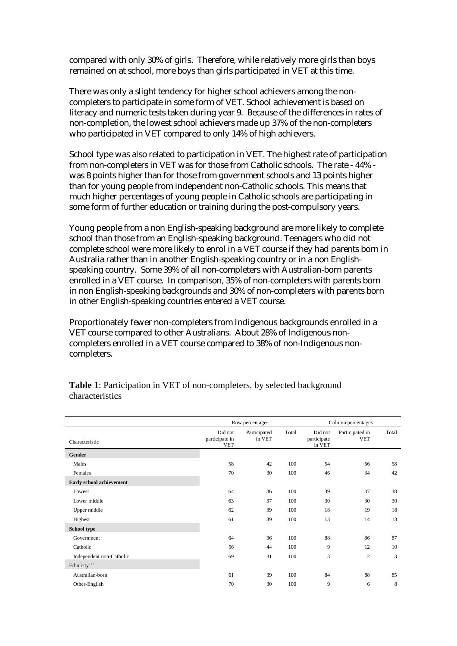compared with only 30% of girls. Therefore, while relatively more girls than boys remained on at school, more boys than girls participated in VET at this time.

There was only a slight tendency for higher school achievers among the noncompleters to participate in some form of VET. School achievement is based on literacy and numeric tests taken during year 9. Because of the differences in rates of non-completion, the lowest school achievers made up 37% of the non-completers who participated in VET compared to only 14% of high achievers.

School type was also related to participation in VET. The highest rate of participation from non-completers in VET was for those from Catholic schools. The rate - 44% was 8 points higher than for those from government schools and 13 points higher than for young people from independent non-Catholic schools. This means that much higher percentages of young people in Catholic schools are participating in some form of further education or training during the post-compulsory years.

Young people from a non English-speaking background are more likely to complete school than those from an English-speaking background. Teenagers who did not complete school were more likely to enrol in a VET course if they had parents born in Australia rather than in another English-speaking country or in a non Englishspeaking country. Some 39% of all non-completers with Australian-born parents enrolled in a VET course. In comparison, 35% of non-completers with parents born in non English-speaking backgrounds and 30% of non-completers with parents born in other English-speaking countries entered a VET course.

Proportionately fewer non-completers from Indigenous backgrounds enrolled in a VET course compared to other Australians. About 28% of Indigenous noncompleters enrolled in a VET course compared to 38% of non-Indigenous noncompleters.

|                          |                                         | Row percentages        |       | Column percentages               |                               |       |  |
|--------------------------|-----------------------------------------|------------------------|-------|----------------------------------|-------------------------------|-------|--|
| Characteristic           | Did not<br>participate in<br><b>VET</b> | Participated<br>in VET | Total | Did not<br>participate<br>in VET | Participated in<br><b>VET</b> | Total |  |
| Gender                   |                                         |                        |       |                                  |                               |       |  |
| Males                    | 58                                      | 42                     | 100   | 54                               | 66                            | 58    |  |
| Females                  | 70                                      | 30                     | 100   | 46                               | 34                            | 42    |  |
| Early school achievement |                                         |                        |       |                                  |                               |       |  |
| Lowest                   | 64                                      | 36                     | 100   | 39                               | 37                            | 38    |  |
| Lower middle             | 63                                      | 37                     | 100   | 30                               | 30                            | 30    |  |
| Upper middle             | 62                                      | 39                     | 100   | 18                               | 19                            | 18    |  |
| Highest                  | 61                                      | 39                     | 100   | 13                               | 14                            | 13    |  |
| School type              |                                         |                        |       |                                  |                               |       |  |
| Government               | 64                                      | 36                     | 100   | 88                               | 86                            | 87    |  |
| Catholic                 | 56                                      | 44                     | 100   | 9                                | 12                            | 10    |  |
| Independent non-Catholic | 69                                      | 31                     | 100   | 3                                | $\overline{c}$                | 3     |  |
| Ethnicity <sup>+++</sup> |                                         |                        |       |                                  |                               |       |  |
| Australian-born          | 61                                      | 39                     | 100   | 84                               | 88                            | 85    |  |
| Other-English            | 70                                      | 30                     | 100   | 9                                | 6                             | 8     |  |

**Table 1**: Participation in VET of non-completers, by selected background characteristics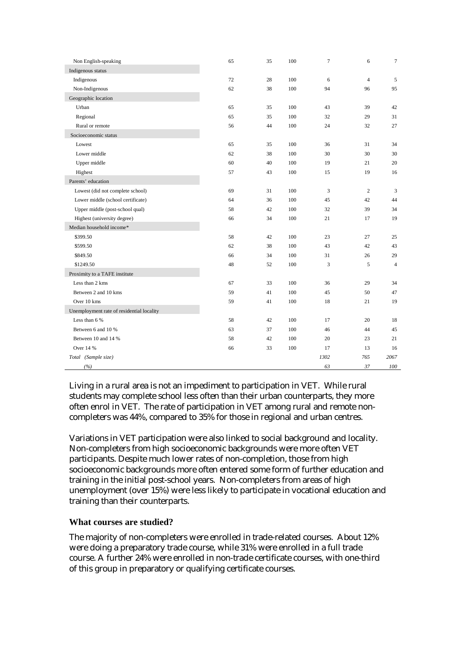| Non English-speaking                      | 65 | 35 | 100 | $\tau$ | 6              | $\tau$         |
|-------------------------------------------|----|----|-----|--------|----------------|----------------|
| Indigenous status                         |    |    |     |        |                |                |
| Indigenous                                | 72 | 28 | 100 | 6      | $\overline{4}$ | 5              |
| Non-Indigenous                            | 62 | 38 | 100 | 94     | 96             | 95             |
| Geographic location                       |    |    |     |        |                |                |
| Urban                                     | 65 | 35 | 100 | 43     | 39             | 42             |
| Regional                                  | 65 | 35 | 100 | 32     | 29             | 31             |
| Rural or remote                           | 56 | 44 | 100 | 24     | 32             | 27             |
| Socioeconomic status                      |    |    |     |        |                |                |
| Lowest                                    | 65 | 35 | 100 | 36     | 31             | 34             |
| Lower middle                              | 62 | 38 | 100 | 30     | 30             | 30             |
| Upper middle                              | 60 | 40 | 100 | 19     | 21             | 20             |
| Highest                                   | 57 | 43 | 100 | 15     | 19             | 16             |
| Parents' education                        |    |    |     |        |                |                |
| Lowest (did not complete school)          | 69 | 31 | 100 | 3      | $\overline{2}$ | $\mathfrak{Z}$ |
| Lower middle (school certificate)         | 64 | 36 | 100 | 45     | 42             | 44             |
| Upper middle (post-school qual)           | 58 | 42 | 100 | 32     | 39             | 34             |
| Highest (university degree)               | 66 | 34 | 100 | 21     | 17             | 19             |
| Median household income*                  |    |    |     |        |                |                |
| \$399.50                                  | 58 | 42 | 100 | 23     | 27             | 25             |
| \$599.50                                  | 62 | 38 | 100 | 43     | 42             | 43             |
| \$849.50                                  | 66 | 34 | 100 | 31     | 26             | 29             |
| \$1249.50                                 | 48 | 52 | 100 | 3      | 5              | $\overline{4}$ |
| Proximity to a TAFE institute             |    |    |     |        |                |                |
| Less than 2 kms                           | 67 | 33 | 100 | 36     | 29             | 34             |
| Between 2 and 10 kms                      | 59 | 41 | 100 | 45     | 50             | 47             |
| Over 10 kms                               | 59 | 41 | 100 | 18     | 21             | 19             |
| Unemployment rate of residential locality |    |    |     |        |                |                |
| Less than 6 %                             | 58 | 42 | 100 | 17     | 20             | 18             |
| Between 6 and 10 %                        | 63 | 37 | 100 | 46     | 44             | 45             |
| Between 10 and 14 %                       | 58 | 42 | 100 | 20     | 23             | 21             |
| Over 14 %                                 | 66 | 33 | 100 | 17     | 13             | 16             |
| Total (Sample size)                       |    |    |     | 1302   | 765            | 2067           |
| (%)                                       |    |    |     | 63     | 37             | 100            |

Living in a rural area is not an impediment to participation in VET. While rural students may complete school less often than their urban counterparts, they more often enrol in VET. The rate of participation in VET among rural and remote noncompleters was 44%, compared to 35% for those in regional and urban centres.

Variations in VET participation were also linked to social background and locality. Non-completers from high socioeconomic backgrounds were more often VET participants. Despite much lower rates of non-completion, those from high socioeconomic backgrounds more often entered some form of further education and training in the initial post-school years. Non-completers from areas of high unemployment (over 15%) were less likely to participate in vocational education and training than their counterparts.

#### **What courses are studied?**

The majority of non-completers were enrolled in trade-related courses. About 12% were doing a preparatory trade course, while 31% were enrolled in a full trade course. A further 24% were enrolled in non-trade certificate courses, with one-third of this group in preparatory or qualifying certificate courses.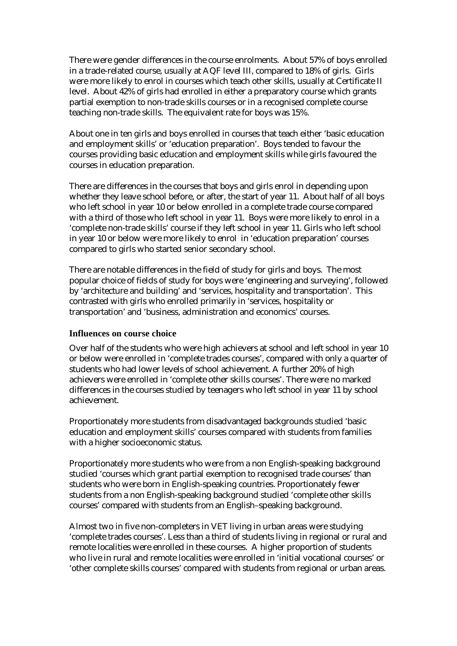There were gender differences in the course enrolments. About 57% of boys enrolled in a trade-related course, usually at AQF level III, compared to 18% of girls. Girls were more likely to enrol in courses which teach other skills, usually at Certificate II level. About 42% of girls had enrolled in either a preparatory course which grants partial exemption to non-trade skills courses or in a recognised complete course teaching non-trade skills. The equivalent rate for boys was 15%.

About one in ten girls and boys enrolled in courses that teach either 'basic education and employment skills' or 'education preparation'. Boys tended to favour the courses providing basic education and employment skills while girls favoured the courses in education preparation.

There are differences in the courses that boys and girls enrol in depending upon whether they leave school before, or after, the start of year 11. About half of all boys who left school in year 10 or below enrolled in a complete trade course compared with a third of those who left school in year 11. Boys were more likely to enrol in a 'complete non-trade skills' course if they left school in year 11. Girls who left school in year 10 or below were more likely to enrol in 'education preparation' courses compared to girls who started senior secondary school.

There are notable differences in the field of study for girls and boys. The most popular choice of fields of study for boys were 'engineering and surveying', followed by 'architecture and building' and 'services, hospitality and transportation'. This contrasted with girls who enrolled primarily in 'services, hospitality or transportation' and 'business, administration and economics' courses.

#### **Influences on course choice**

Over half of the students who were high achievers at school and left school in year 10 or below were enrolled in 'complete trades courses', compared with only a quarter of students who had lower levels of school achievement. A further 20% of high achievers were enrolled in 'complete other skills courses'. There were no marked differences in the courses studied by teenagers who left school in year 11 by school achievement.

Proportionately more students from disadvantaged backgrounds studied 'basic education and employment skills' courses compared with students from families with a higher socioeconomic status.

Proportionately more students who were from a non English-speaking background studied 'courses which grant partial exemption to recognised trade courses' than students who were born in English-speaking countries. Proportionately fewer students from a non English-speaking background studied 'complete other skills courses' compared with students from an English–speaking background.

Almost two in five non-completers in VET living in urban areas were studying 'complete trades courses'. Less than a third of students living in regional or rural and remote localities were enrolled in these courses. A higher proportion of students who live in rural and remote localities were enrolled in 'initial vocational courses' or 'other complete skills courses' compared with students from regional or urban areas.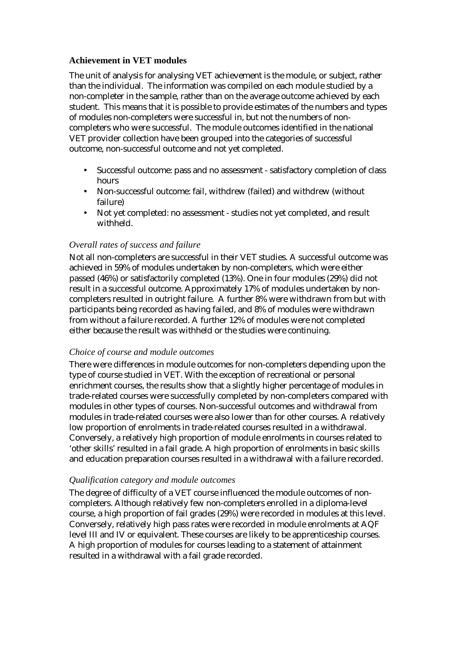#### **Achievement in VET modules**

The unit of analysis for analysing VET achievement is the module, or subject, rather than the individual. The information was compiled on each module studied by a non-completer in the sample, rather than on the average outcome achieved by each student. This means that it is possible to provide estimates of the numbers and types of modules non-completers were successful in, but not the numbers of noncompleters who were successful. The module outcomes identified in the national VET provider collection have been grouped into the categories of successful outcome, non-successful outcome and not yet completed.

- Successful outcome: pass and no assessment satisfactory completion of class hours
- Non-successful outcome: fail, withdrew (failed) and withdrew (without failure)
- Not yet completed: no assessment studies not yet completed, and result withheld.

#### *Overall rates of success and failure*

Not all non-completers are successful in their VET studies. A successful outcome was achieved in 59% of modules undertaken by non-completers, which were either passed (46%) or satisfactorily completed (13%). One in four modules (29%) did not result in a successful outcome. Approximately 17% of modules undertaken by noncompleters resulted in outright failure. A further 8% were withdrawn from but with participants being recorded as having failed, and 8% of modules were withdrawn from without a failure recorded. A further 12% of modules were not completed either because the result was withheld or the studies were continuing.

#### *Choice of course and module outcomes*

There were differences in module outcomes for non-completers depending upon the type of course studied in VET. With the exception of recreational or personal enrichment courses, the results show that a slightly higher percentage of modules in trade-related courses were successfully completed by non-completers compared with modules in other types of courses. Non-successful outcomes and withdrawal from modules in trade-related courses were also lower than for other courses. A relatively low proportion of enrolments in trade-related courses resulted in a withdrawal. Conversely, a relatively high proportion of module enrolments in courses related to 'other skills' resulted in a fail grade. A high proportion of enrolments in basic skills and education preparation courses resulted in a withdrawal with a failure recorded.

#### *Qualification category and module outcomes*

The degree of difficulty of a VET course influenced the module outcomes of noncompleters. Although relatively few non-completers enrolled in a diploma-level course, a high proportion of fail grades (29%) were recorded in modules at this level. Conversely, relatively high pass rates were recorded in module enrolments at AQF level III and IV or equivalent. These courses are likely to be apprenticeship courses. A high proportion of modules for courses leading to a statement of attainment resulted in a withdrawal with a fail grade recorded.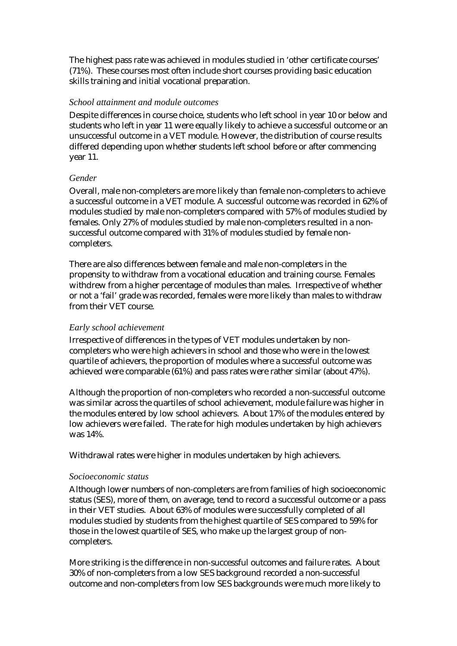The highest pass rate was achieved in modules studied in 'other certificate courses' (71%). These courses most often include short courses providing basic education skills training and initial vocational preparation.

#### *School attainment and module outcomes*

Despite differences in course choice, students who left school in year 10 or below and students who left in year 11 were equally likely to achieve a successful outcome or an unsuccessful outcome in a VET module. However, the distribution of course results differed depending upon whether students left school before or after commencing year 11.

#### *Gender*

Overall, male non-completers are more likely than female non-completers to achieve a successful outcome in a VET module. A successful outcome was recorded in 62% of modules studied by male non-completers compared with 57% of modules studied by females. Only 27% of modules studied by male non-completers resulted in a nonsuccessful outcome compared with 31% of modules studied by female noncompleters.

There are also differences between female and male non-completers in the propensity to withdraw from a vocational education and training course. Females withdrew from a higher percentage of modules than males. Irrespective of whether or not a 'fail' grade was recorded, females were more likely than males to withdraw from their VET course.

#### *Early school achievement*

Irrespective of differences in the types of VET modules undertaken by noncompleters who were high achievers in school and those who were in the lowest quartile of achievers, the proportion of modules where a successful outcome was achieved were comparable (61%) and pass rates were rather similar (about 47%).

Although the proportion of non-completers who recorded a non-successful outcome was similar across the quartiles of school achievement, module failure was higher in the modules entered by low school achievers. About 17% of the modules entered by low achievers were failed. The rate for high modules undertaken by high achievers was 14%.

Withdrawal rates were higher in modules undertaken by high achievers.

#### *Socioeconomic status*

Although lower numbers of non-completers are from families of high socioeconomic status (SES), more of them, on average, tend to record a successful outcome or a pass in their VET studies. About 63% of modules were successfully completed of all modules studied by students from the highest quartile of SES compared to 59% for those in the lowest quartile of SES, who make up the largest group of noncompleters.

More striking is the difference in non-successful outcomes and failure rates. About 30% of non-completers from a low SES background recorded a non-successful outcome and non-completers from low SES backgrounds were much more likely to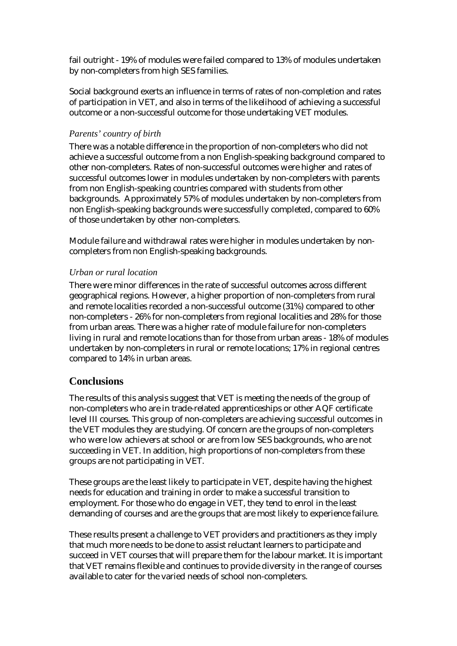fail outright - 19% of modules were failed compared to 13% of modules undertaken by non-completers from high SES families.

Social background exerts an influence in terms of rates of non-completion and rates of participation in VET, and also in terms of the likelihood of achieving a successful outcome or a non-successful outcome for those undertaking VET modules.

## *Parents' country of birth*

There was a notable difference in the proportion of non-completers who did not achieve a successful outcome from a non English-speaking background compared to other non-completers. Rates of non-successful outcomes were higher and rates of successful outcomes lower in modules undertaken by non-completers with parents from non English-speaking countries compared with students from other backgrounds. Approximately 57% of modules undertaken by non-completers from non English-speaking backgrounds were successfully completed, compared to 60% of those undertaken by other non-completers.

Module failure and withdrawal rates were higher in modules undertaken by noncompleters from non English-speaking backgrounds.

## *Urban or rural location*

There were minor differences in the rate of successful outcomes across different geographical regions. However, a higher proportion of non-completers from rural and remote localities recorded a non-successful outcome (31%) compared to other non-completers - 26% for non-completers from regional localities and 28% for those from urban areas. There was a higher rate of module failure for non-completers living in rural and remote locations than for those from urban areas - 18% of modules undertaken by non-completers in rural or remote locations; 17% in regional centres compared to 14% in urban areas.

# **Conclusions**

The results of this analysis suggest that VET is meeting the needs of the group of non-completers who are in trade-related apprenticeships or other AQF certificate level III courses. This group of non-completers are achieving successful outcomes in the VET modules they are studying. Of concern are the groups of non-completers who were low achievers at school or are from low SES backgrounds, who are not succeeding in VET. In addition, high proportions of non-completers from these groups are not participating in VET.

These groups are the least likely to participate in VET, despite having the highest needs for education and training in order to make a successful transition to employment. For those who do engage in VET, they tend to enrol in the least demanding of courses and are the groups that are most likely to experience failure.

These results present a challenge to VET providers and practitioners as they imply that much more needs to be done to assist reluctant learners to participate and succeed in VET courses that will prepare them for the labour market. It is important that VET remains flexible and continues to provide diversity in the range of courses available to cater for the varied needs of school non-completers.